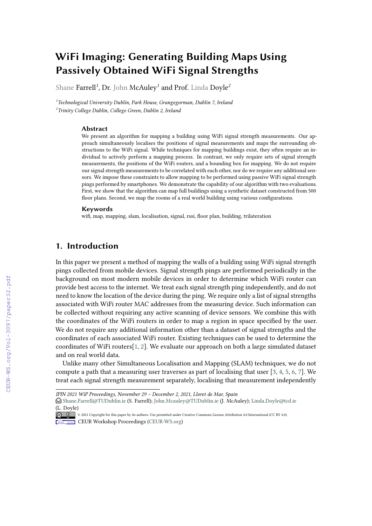# **WiFi Imaging: Generating Building Maps using UPassively Obtained WiFi Signal Strengths**

Shane Farrell*<sup>1</sup>* , Dr. John McAuley*<sup>1</sup>* and Prof. Linda Doyle*<sup>2</sup>*

*1 Technological University Dublin, Park House, Grangegorman, Dublin 7, Ireland 2 Trinity College Dublin, College Green, Dublin 2, Ireland*

#### **Abstract**

We present an algorithm for mapping a building using WiFi signal strength measurements. Our approach simultaneously localises the positions of signal measurements and maps the surrounding obstructions to the WiFi signal. While techniques for mapping buildings exist, they often require an individual to actively perform a mapping process. In contrast, we only require sets of signal strength measurements, the positions of the WiFi routers, and a bounding box for mapping. We do not require our signal strength measurements to be correlated with each other, nor do we require any additional sensors. We impose these constraints to allow mapping to be performed using passive WiFi signal strength pings performed by smartphones. We demonstrate the capability of our algorithm with two evaluations. First, we show that the algorithm can map full buildings using a synthetic dataset constructed from 500 floor plans. Second, we map the rooms of a real world building using various configurations.

#### **Keywords**

wifi, map, mapping, slam, localisation, signal, rssi, floor plan, building, trilateration

# **1. Introduction**

In this paper we present a method of mapping the walls of a building using WiFi signal strength pings collected from mobile devices. Signal strength pings are performed periodically in the background on most modern mobile devices in order to determine which WiFi router can provide best access to the internet. We treat each signal strength ping independently, and do not need to know the location of the device during the ping. We require only a list of signal strengths associated with WiFi router MAC addresses from the measuring device. Such information can be collected without requiring any active scanning of device sensors. We combine this with the coordinates of the WiFi routers in order to map a region in space specified by the user. We do not require any additional information other than a dataset of signal strengths and the coordinates of each associated WiFi router. Existing techniques can be used to determine the coordinates of WiFi routers[\[1,](#page--1-0) [2\]](#page--1-1). We evaluate our approach on both a large simulated dataset and on real world data.

Unlike many other Simultaneous Localisation and Mapping (SLAM) techniques, we do not compute a path that a measuring user traverses as part of localising that user [\[3,](#page--1-2) [4,](#page--1-3) [5,](#page--1-4) [6,](#page--1-5) [7\]](#page--1-6). We treat each signal strength measurement separately, localising that measurement independently

*IPIN 2021 WiP Proceedings, November 29 – December 2, 2021, Lloret de Mar, Spain*

<sup>&</sup>quot; [Shane.Farrell@TUDublin.ie](mailto:Shane.Farrell@TUDublin.ie) (S. Farrell); [John.Mcauley@TUDublin.ie](mailto:John.Mcauley@TUDublin.ie) (J. McAuley); [Linda.Doyle@tcd.ie](mailto:Linda.Doyle@tcd.ie) [\(L. Doyle](https://creativecommons.org/licenses/by/4.0))

<sup>©</sup> 2021 Copyright for this paper by its authors. Use permitted under Creative Commons License Attribution 4.0 International (CC BY 4.0). **CEUR Workshop [Proceedings](http://ceur-ws.org) [\(CEUR-WS.org\)](http://ceur-ws.org)**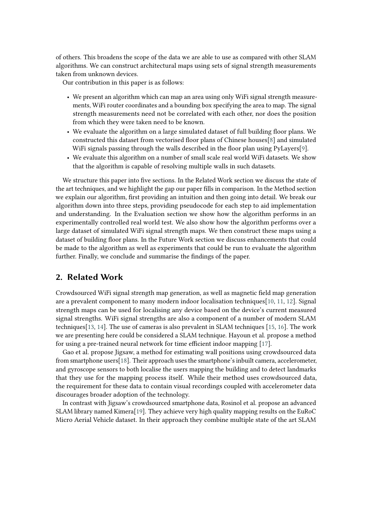of others. This broadens the scope of the data we are able to use as compared with other SLAM algorithms. We can construct architectural maps using sets of signal strength measurements taken from unknown devices.

Our contribution in this paper is as follows:

- We present an algorithm which can map an area using only WiFi signal strength measurements, WiFi router coordinates and a bounding box specifying the area to map. The signal strength measurements need not be correlated with each other, nor does the position from which they were taken need to be known.
- We evaluate the algorithm on a large simulated dataset of full building floor plans. We constructed this dataset from vectorised floor plans of Chinese houses[\[8\]](#page-14-0) and simulated WiFi signals passing through the walls described in the floor plan using PyLayers[\[9\]](#page-14-1).
- We evaluate this algorithm on a number of small scale real world WiFi datasets. We show that the algorithm is capable of resolving multiple walls in such datasets.

We structure this paper into five sections. In the Related Work section we discuss the state of the art techniques, and we highlight the gap our paper fills in comparison. In the Method section we explain our algorithm, first providing an intuition and then going into detail. We break our algorithm down into three steps, providing pseudocode for each step to aid implementation and understanding. In the Evaluation section we show how the algorithm performs in an experimentally controlled real world test. We also show how the algorithm performs over a large dataset of simulated WiFi signal strength maps. We then construct these maps using a dataset of building floor plans. In the Future Work section we discuss enhancements that could be made to the algorithm as well as experiments that could be run to evaluate the algorithm further. Finally, we conclude and summarise the findings of the paper.

## **2. Related Work**

Crowdsourced WiFi signal strength map generation, as well as magnetic field map generation are a prevalent component to many modern indoor localisation techniques[\[10,](#page-14-2) [11,](#page-14-3) [12\]](#page-14-4). Signal strength maps can be used for localising any device based on the device's current measured signal strengths. WiFi signal strengths are also a component of a number of modern SLAM techniques[\[13,](#page-14-5) [14\]](#page-15-0). The use of cameras is also prevalent in SLAM techniques [\[15,](#page-15-1) [16\]](#page-15-2). The work we are presenting here could be considered a SLAM technique. Hayoun et al. propose a method for using a pre-trained neural network for time efficient indoor mapping [\[17\]](#page-15-3).

Gao et al. propose Jigsaw, a method for estimating wall positions using crowdsourced data from smartphone users[\[18\]](#page-15-4). Their approach uses the smartphone's inbuilt camera, accelerometer, and gyroscope sensors to both localise the users mapping the building and to detect landmarks that they use for the mapping process itself. While their method uses crowdsourced data, the requirement for these data to contain visual recordings coupled with accelerometer data discourages broader adoption of the technology.

In contrast with Jigsaw's crowdsourced smartphone data, Rosinol et al. propose an advanced SLAM library named Kimera[\[19\]](#page-15-5). They achieve very high quality mapping results on the EuRoC Micro Aerial Vehicle dataset. In their approach they combine multiple state of the art SLAM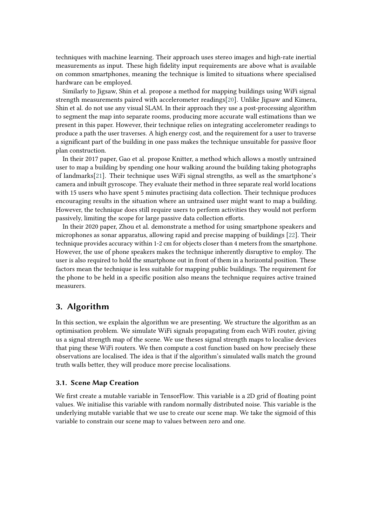techniques with machine learning. Their approach uses stereo images and high-rate inertial measurements as input. These high fidelity input requirements are above what is available on common smartphones, meaning the technique is limited to situations where specialised hardware can be employed.

Similarly to Jigsaw, Shin et al. propose a method for mapping buildings using WiFi signal strength measurements paired with accelerometer readings[\[20\]](#page-15-6). Unlike Jigsaw and Kimera, Shin et al. do not use any visual SLAM. In their approach they use a post-processing algorithm to segment the map into separate rooms, producing more accurate wall estimations than we present in this paper. However, their technique relies on integrating accelerometer readings to produce a path the user traverses. A high energy cost, and the requirement for a user to traverse a significant part of the building in one pass makes the technique unsuitable for passive floor plan construction.

In their 2017 paper, Gao et al. propose Knitter, a method which allows a mostly untrained user to map a building by spending one hour walking around the building taking photographs of landmarks[\[21\]](#page-15-7). Their technique uses WiFi signal strengths, as well as the smartphone's camera and inbuilt gyroscope. They evaluate their method in three separate real world locations with 15 users who have spent 5 minutes practising data collection. Their technique produces encouraging results in the situation where an untrained user might want to map a building. However, the technique does still require users to perform activities they would not perform passively, limiting the scope for large passive data collection efforts.

In their 2020 paper, Zhou et al. demonstrate a method for using smartphone speakers and microphones as sonar apparatus, allowing rapid and precise mapping of buildings [\[22\]](#page-15-8). Their technique provides accuracy within 1-2 cm for objects closer than 4 meters from the smartphone. However, the use of phone speakers makes the technique inherently disruptive to employ. The user is also required to hold the smartphone out in front of them in a horizontal position. These factors mean the technique is less suitable for mapping public buildings. The requirement for the phone to be held in a specific position also means the technique requires active trained measurers.

# **3. Algorithm**

In this section, we explain the algorithm we are presenting. We structure the algorithm as an optimisation problem. We simulate WiFi signals propagating from each WiFi router, giving us a signal strength map of the scene. We use theses signal strength maps to localise devices that ping these WiFi routers. We then compute a cost function based on how precisely these observations are localised. The idea is that if the algorithm's simulated walls match the ground truth walls better, they will produce more precise localisations.

### **3.1. Scene Map Creation**

We first create a mutable variable in TensorFlow. This variable is a 2D grid of floating point values. We initialise this variable with random normally distributed noise. This variable is the underlying mutable variable that we use to create our scene map. We take the sigmoid of this variable to constrain our scene map to values between zero and one.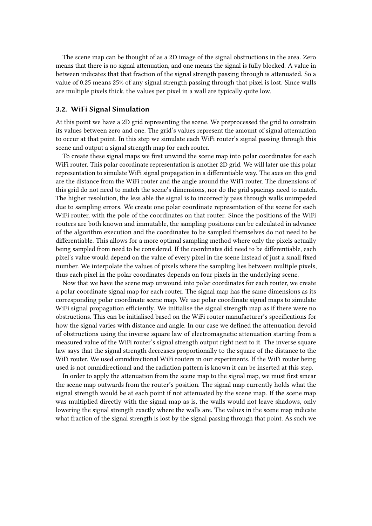The scene map can be thought of as a 2D image of the signal obstructions in the area. Zero means that there is no signal attenuation, and one means the signal is fully blocked. A value in between indicates that that fraction of the signal strength passing through is attenuated. So a value of 0.25 means 25% of any signal strength passing through that pixel is lost. Since walls are multiple pixels thick, the values per pixel in a wall are typically quite low.

### **3.2. WiFi Signal Simulation**

At this point we have a 2D grid representing the scene. We preprocessed the grid to constrain its values between zero and one. The grid's values represent the amount of signal attenuation to occur at that point. In this step we simulate each WiFi router's signal passing through this scene and output a signal strength map for each router.

To create these signal maps we first unwind the scene map into polar coordinates for each WiFi router. This polar coordinate representation is another 2D grid. We will later use this polar representation to simulate WiFi signal propagation in a differentiable way. The axes on this grid are the distance from the WiFi router and the angle around the WiFi router. The dimensions of this grid do not need to match the scene's dimensions, nor do the grid spacings need to match. The higher resolution, the less able the signal is to incorrectly pass through walls unimpeded due to sampling errors. We create one polar coordinate representation of the scene for each WiFi router, with the pole of the coordinates on that router. Since the positions of the WiFi routers are both known and immutable, the sampling positions can be calculated in advance of the algorithm execution and the coordinates to be sampled themselves do not need to be differentiable. This allows for a more optimal sampling method where only the pixels actually being sampled from need to be considered. If the coordinates did need to be differentiable, each pixel's value would depend on the value of every pixel in the scene instead of just a small fixed number. We interpolate the values of pixels where the sampling lies between multiple pixels, thus each pixel in the polar coordinates depends on four pixels in the underlying scene.

Now that we have the scene map unwound into polar coordinates for each router, we create a polar coordinate signal map for each router. The signal map has the same dimensions as its corresponding polar coordinate scene map. We use polar coordinate signal maps to simulate WiFi signal propagation efficiently. We initialise the signal strength map as if there were no obstructions. This can be initialised based on the WiFi router manufacturer's specifications for how the signal varies with distance and angle. In our case we defined the attenuation devoid of obstructions using the inverse square law of electromagnetic attenuation starting from a measured value of the WiFi router's signal strength output right next to it. The inverse square law says that the signal strength decreases proportionally to the square of the distance to the WiFi router. We used omnidirectional WiFi routers in our experiments. If the WiFi router being used is not omnidirectional and the radiation pattern is known it can be inserted at this step.

In order to apply the attenuation from the scene map to the signal map, we must first smear the scene map outwards from the router's position. The signal map currently holds what the signal strength would be at each point if not attenuated by the scene map. If the scene map was multiplied directly with the signal map as is, the walls would not leave shadows, only lowering the signal strength exactly where the walls are. The values in the scene map indicate what fraction of the signal strength is lost by the signal passing through that point. As such we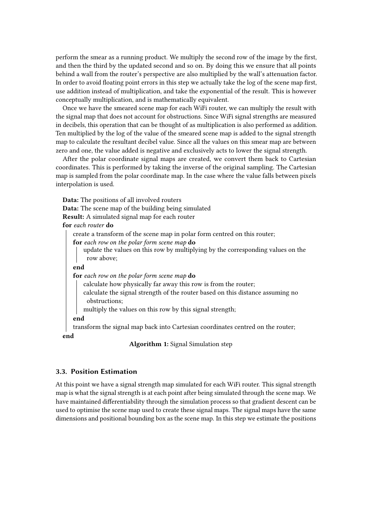perform the smear as a running product. We multiply the second row of the image by the first, and then the third by the updated second and so on. By doing this we ensure that all points behind a wall from the router's perspective are also multiplied by the wall's attenuation factor. In order to avoid floating point errors in this step we actually take the log of the scene map first, use addition instead of multiplication, and take the exponential of the result. This is however conceptually multiplication, and is mathematically equivalent.

Once we have the smeared scene map for each WiFi router, we can multiply the result with the signal map that does not account for obstructions. Since WiFi signal strengths are measured in decibels, this operation that can be thought of as multiplication is also performed as addition. Ten multiplied by the log of the value of the smeared scene map is added to the signal strength map to calculate the resultant decibel value. Since all the values on this smear map are between zero and one, the value added is negative and exclusively acts to lower the signal strength.

After the polar coordinate signal maps are created, we convert them back to Cartesian coordinates. This is performed by taking the inverse of the original sampling. The Cartesian map is sampled from the polar coordinate map. In the case where the value falls between pixels interpolation is used.

**Data:** The positions of all involved routers **Data:** The scene map of the building being simulated **Result:** A simulated signal map for each router **for** *each router* **do** create a transform of the scene map in polar form centred on this router; **for** *each row on the polar form scene map* **do** update the values on this row by multiplying by the corresponding values on the row above; **end for** *each row on the polar form scene map* **do** calculate how physically far away this row is from the router; calculate the signal strength of the router based on this distance assuming no obstructions; multiply the values on this row by this signal strength; **end** transform the signal map back into Cartesian coordinates centred on the router; **end**

**Algorithm 1:** Signal Simulation step

### **3.3. Position Estimation**

At this point we have a signal strength map simulated for each WiFi router. This signal strength map is what the signal strength is at each point after being simulated through the scene map. We have maintained differentiability through the simulation process so that gradient descent can be used to optimise the scene map used to create these signal maps. The signal maps have the same dimensions and positional bounding box as the scene map. In this step we estimate the positions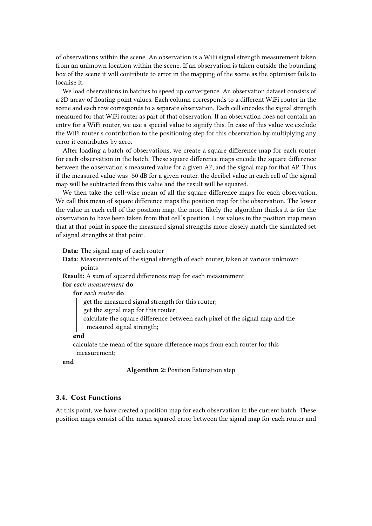of observations within the scene. An observation is a WiFi signal strength measurement taken from an unknown location within the scene. If an observation is taken outside the bounding box of the scene it will contribute to error in the mapping of the scene as the optimiser fails to localise it.

We load observations in batches to speed up convergence. An observation dataset consists of a 2D array of floating point values. Each column corresponds to a different WiFi router in the scene and each row corresponds to a separate observation. Each cell encodes the signal strength measured for that WiFi router as part of that observation. If an observation does not contain an entry for a WiFi router, we use a special value to signify this. In case of this value we exclude the WiFi router's contribution to the positioning step for this observation by multiplying any error it contributes by zero.

After loading a batch of observations, we create a square difference map for each router for each observation in the batch. These square difference maps encode the square difference between the observation's measured value for a given AP, and the signal map for that AP. Thus if the measured value was -50 dB for a given router, the decibel value in each cell of the signal map will be subtracted from this value and the result will be squared.

We then take the cell-wise mean of all the square difference maps for each observation. We call this mean of square difference maps the position map for the observation. The lower the value in each cell of the position map, the more likely the algorithm thinks it is for the observation to have been taken from that cell's position. Low values in the position map mean that at that point in space the measured signal strengths more closely match the simulated set of signal strengths at that point.

**Data:** The signal map of each router

**Data:** Measurements of the signal strength of each router, taken at various unknown points

**Result:** A sum of squared differences map for each measurement

**for** *each measurement* **do**

**for** *each router* **do**

get the measured signal strength for this router;

get the signal map for this router;

calculate the square difference between each pixel of the signal map and the measured signal strength;

**end**

calculate the mean of the square difference maps from each router for this measurement;

**end**

**Algorithm 2:** Position Estimation step

### **3.4. Cost Functions**

At this point, we have created a position map for each observation in the current batch. These position maps consist of the mean squared error between the signal map for each router and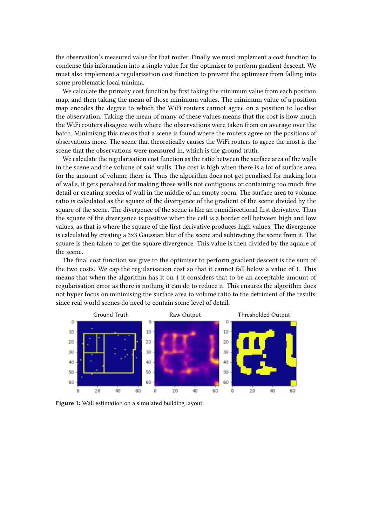the observation's measured value for that router. Finally we must implement a cost function to condense this information into a single value for the optimiser to perform gradient descent. We must also implement a regularisation cost function to prevent the optimiser from falling into some problematic local minima.

We calculate the primary cost function by first taking the minimum value from each position map, and then taking the mean of those minimum values. The minimum value of a position map encodes the degree to which the WiFi routers cannot agree on a position to localise the observation. Taking the mean of many of these values means that the cost is how much the WiFi routers disagree with where the observations were taken from on average over the batch. Minimising this means that a scene is found where the routers agree on the positions of observations more. The scene that theoretically causes the WiFi routers to agree the most is the scene that the observations were measured in, which is the ground truth.

We calculate the regularisation cost function as the ratio between the surface area of the walls in the scene and the volume of said walls. The cost is high when there is a lot of surface area for the amount of volume there is. Thus the algorithm does not get penalised for making lots of walls, it gets penalised for making those walls not contiguous or containing too much fine detail or creating specks of wall in the middle of an empty room. The surface area to volume ratio is calculated as the square of the divergence of the gradient of the scene divided by the square of the scene. The divergence of the scene is like an omnidirectional first derivative. Thus the square of the divergence is positive when the cell is a border cell between high and low values, as that is where the square of the first derivative produces high values. The divergence is calculated by creating a 3x3 Gaussian blur of the scene and subtracting the scene from it. The square is then taken to get the square divergence. This value is then divided by the square of the scene.

The final cost function we give to the optimiser to perform gradient descent is the sum of the two costs. We cap the regularisation cost so that it cannot fall below a value of 1. This means that when the algorithm has it on 1 it considers that to be an acceptable amount of regularisation error as there is nothing it can do to reduce it. This ensures the algorithm does not hyper focus on minimising the surface area to volume ratio to the detriment of the results, since real world scenes do need to contain some level of detail.



<span id="page-6-0"></span>**Figure 1:** Wall estimation on a simulated building layout.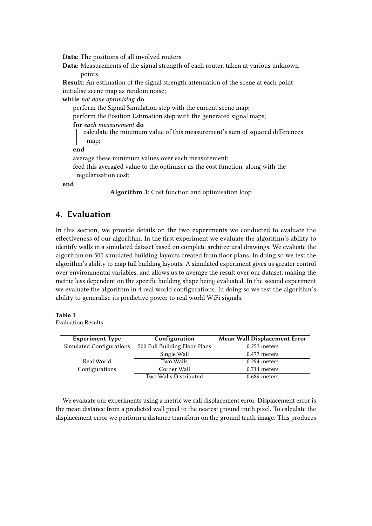**Data:** The positions of all involved routers

**Data:** Measurements of the signal strength of each router, taken at various unknown points

**Result:** An estimation of the signal strength attenuation of the scene at each point initialise scene map as random noise;

**while** *not done optimising* **do**

perform the Signal Simulation step with the current scene map;

perform the Position Estimation step with the generated signal maps;

**for** *each measurement* **do**

calculate the minimum value of this measurement's sum of squared differences map;

**end**

average these minimum values over each measurement;

feed this averaged value to the optimiser as the cost function, along with the regularisation cost;

**end**

**Algorithm 3:** Cost function and optimisation loop

## **4. Evaluation**

In this section, we provide details on the two experiments we conducted to evaluate the effectiveness of our algorithm. In the first experiment we evaluate the algorithm's ability to identify walls in a simulated dataset based on complete architectural drawings. We evaluate the algorithm on 500 simulated building layouts created from floor plans. In doing so we test the algorithm's ability to map full building layouts. A simulated experiment gives us greater control over environmental variables, and allows us to average the result over our dataset, making the metric less dependent on the specific building shape being evaluated. In the second experiment we evaluate the algorithm in 4 real world configurations. In doing so we test the algorithm's ability to generalise its predictive power to real world WiFi signals.

### **Table 1**

Evaluation Results

| <b>Experiment Type</b>   | Configuration                 | <b>Mean Wall Displacement Error</b> |
|--------------------------|-------------------------------|-------------------------------------|
| Simulated Configurations | 500 Full Building Floor Plans | $0.253$ meters                      |
|                          | Single Wall                   | $0.477$ meters                      |
| Real World               | Two Walls                     | $0.294$ meters                      |
| Configurations           | Corner Wall                   | $0.714$ meters                      |
|                          | Two Walls Distributed         | $0.689$ meters                      |

We evaluate our experiments using a metric we call displacement error. Displacement error is the mean distance from a predicted wall pixel to the nearest ground truth pixel. To calculate the displacement error we perform a distance transform on the ground truth image. This produces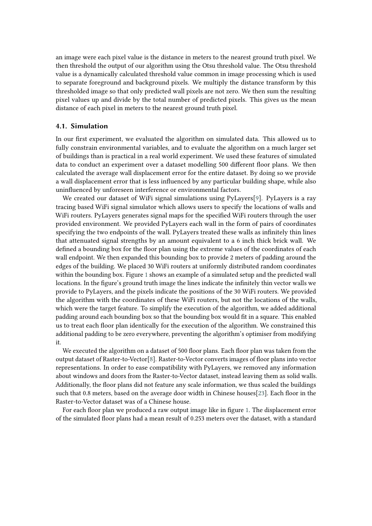an image were each pixel value is the distance in meters to the nearest ground truth pixel. We then threshold the output of our algorithm using the Otsu threshold value. The Otsu threshold value is a dynamically calculated threshold value common in image processing which is used to separate foreground and background pixels. We multiply the distance transform by this thresholded image so that only predicted wall pixels are not zero. We then sum the resulting pixel values up and divide by the total number of predicted pixels. This gives us the mean distance of each pixel in meters to the nearest ground truth pixel.

### **4.1. Simulation**

In our first experiment, we evaluated the algorithm on simulated data. This allowed us to fully constrain environmental variables, and to evaluate the algorithm on a much larger set of buildings than is practical in a real world experiment. We used these features of simulated data to conduct an experiment over a dataset modelling 500 different floor plans. We then calculated the average wall displacement error for the entire dataset. By doing so we provide a wall displacement error that is less influenced by any particular building shape, while also uninfluenced by unforeseen interference or environmental factors.

We created our dataset of WiFi signal simulations using PyLayers[\[9\]](#page-14-1). PyLayers is a ray tracing based WiFi signal simulator which allows users to specify the locations of walls and WiFi routers. PyLayers generates signal maps for the specified WiFi routers through the user provided environment. We provided PyLayers each wall in the form of pairs of coordinates specifying the two endpoints of the wall. PyLayers treated these walls as infinitely thin lines that attenuated signal strengths by an amount equivalent to a 6 inch thick brick wall. We defined a bounding box for the floor plan using the extreme values of the coordinates of each wall endpoint. We then expanded this bounding box to provide 2 meters of padding around the edges of the building. We placed 30 WiFi routers at uniformly distributed random coordinates within the bounding box. Figure [1](#page-6-0) shows an example of a simulated setup and the predicted wall locations. In the figure's ground truth image the lines indicate the infinitely thin vector walls we provide to PyLayers, and the pixels indicate the positions of the 30 WiFi routers. We provided the algorithm with the coordinates of these WiFi routers, but not the locations of the walls, which were the target feature. To simplify the execution of the algorithm, we added additional padding around each bounding box so that the bounding box would fit in a square. This enabled us to treat each floor plan identically for the execution of the algorithm. We constrained this additional padding to be zero everywhere, preventing the algorithm's optimiser from modifying it.

We executed the algorithm on a dataset of 500 floor plans. Each floor plan was taken from the output dataset of Raster-to-Vector[\[8\]](#page-14-0). Raster-to-Vector converts images of floor plans into vector representations. In order to ease compatibility with PyLayers, we removed any information about windows and doors from the Raster-to-Vector dataset, instead leaving them as solid walls. Additionally, the floor plans did not feature any scale information, we thus scaled the buildings such that 0.8 meters, based on the average door width in Chinese houses[\[23\]](#page-15-9). Each floor in the Raster-to-Vector dataset was of a Chinese house.

For each floor plan we produced a raw output image like in figure [1.](#page-6-0) The displacement error of the simulated floor plans had a mean result of 0.253 meters over the dataset, with a standard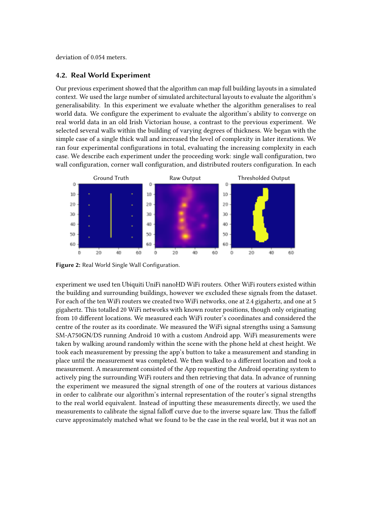deviation of 0.054 meters.

### **4.2. Real World Experiment**

Our previous experiment showed that the algorithm can map full building layouts in a simulated context. We used the large number of simulated architectural layouts to evaluate the algorithm's generalisability. In this experiment we evaluate whether the algorithm generalises to real world data. We configure the experiment to evaluate the algorithm's ability to converge on real world data in an old Irish Victorian house, a contrast to the previous experiment. We selected several walls within the building of varying degrees of thickness. We began with the simple case of a single thick wall and increased the level of complexity in later iterations. We ran four experimental configurations in total, evaluating the increasing complexity in each case. We describe each experiment under the proceeding work: single wall configuration, two wall configuration, corner wall configuration, and distributed routers configuration. In each



<span id="page-9-0"></span>**Figure 2:** Real World Single Wall Configuration.

experiment we used ten Ubiquiti UniFi nanoHD WiFi routers. Other WiFi routers existed within the building and surrounding buildings, however we excluded these signals from the dataset. For each of the ten WiFi routers we created two WiFi networks, one at 2.4 gigahertz, and one at 5 gigahertz. This totalled 20 WiFi networks with known router positions, though only originating from 10 different locations. We measured each WiFi router's coordinates and considered the centre of the router as its coordinate. We measured the WiFi signal strengths using a Samsung SM-A750GN/DS running Android 10 with a custom Android app. WiFi measurements were taken by walking around randomly within the scene with the phone held at chest height. We took each measurement by pressing the app's button to take a measurement and standing in place until the measurement was completed. We then walked to a different location and took a measurement. A measurement consisted of the App requesting the Android operating system to actively ping the surrounding WiFi routers and then retrieving that data. In advance of running the experiment we measured the signal strength of one of the routers at various distances in order to calibrate our algorithm's internal representation of the router's signal strengths to the real world equivalent. Instead of inputting these measurements directly, we used the measurements to calibrate the signal falloff curve due to the inverse square law. Thus the falloff curve approximately matched what we found to be the case in the real world, but it was not an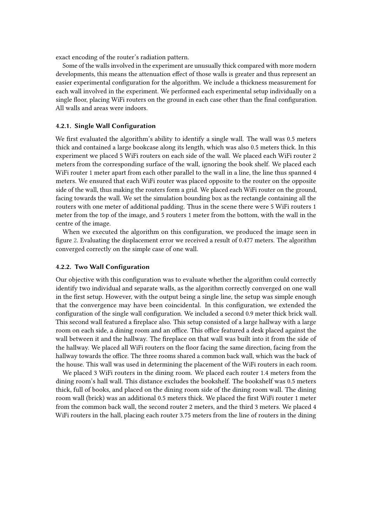exact encoding of the router's radiation pattern.

Some of the walls involved in the experiment are unusually thick compared with more modern developments, this means the attenuation effect of those walls is greater and thus represent an easier experimental configuration for the algorithm. We include a thickness measurement for each wall involved in the experiment. We performed each experimental setup individually on a single floor, placing WiFi routers on the ground in each case other than the final configuration. All walls and areas were indoors.

#### **4.2.1. Single Wall Configuration**

We first evaluated the algorithm's ability to identify a single wall. The wall was 0.5 meters thick and contained a large bookcase along its length, which was also 0.5 meters thick. In this experiment we placed 5 WiFi routers on each side of the wall. We placed each WiFi router 2 meters from the corresponding surface of the wall, ignoring the book shelf. We placed each WiFi router 1 meter apart from each other parallel to the wall in a line, the line thus spanned 4 meters. We ensured that each WiFi router was placed opposite to the router on the opposite side of the wall, thus making the routers form a grid. We placed each WiFi router on the ground, facing towards the wall. We set the simulation bounding box as the rectangle containing all the routers with one meter of additional padding. Thus in the scene there were 5 WiFi routers 1 meter from the top of the image, and 5 routers 1 meter from the bottom, with the wall in the centre of the image.

When we executed the algorithm on this configuration, we produced the image seen in figure [2.](#page-9-0) Evaluating the displacement error we received a result of 0.477 meters. The algorithm converged correctly on the simple case of one wall.

#### **4.2.2. Two Wall Configuration**

Our objective with this configuration was to evaluate whether the algorithm could correctly identify two individual and separate walls, as the algorithm correctly converged on one wall in the first setup. However, with the output being a single line, the setup was simple enough that the convergence may have been coincidental. In this configuration, we extended the configuration of the single wall configuration. We included a second 0.9 meter thick brick wall. This second wall featured a fireplace also. This setup consisted of a large hallway with a large room on each side, a dining room and an office. This office featured a desk placed against the wall between it and the hallway. The fireplace on that wall was built into it from the side of the hallway. We placed all WiFi routers on the floor facing the same direction, facing from the hallway towards the office. The three rooms shared a common back wall, which was the back of the house. This wall was used in determining the placement of the WiFi routers in each room.

We placed 3 WiFi routers in the dining room. We placed each router 1.4 meters from the dining room's hall wall. This distance excludes the bookshelf. The bookshelf was 0.5 meters thick, full of books, and placed on the dining room side of the dining room wall. The dining room wall (brick) was an additional 0.5 meters thick. We placed the first WiFi router 1 meter from the common back wall, the second router 2 meters, and the third 3 meters. We placed 4 WiFi routers in the hall, placing each router 3.75 meters from the line of routers in the dining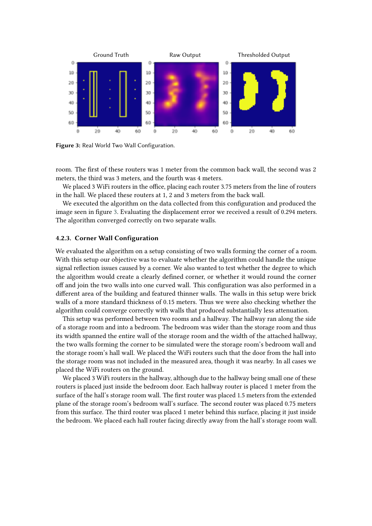

<span id="page-11-0"></span>**Figure 3:** Real World Two Wall Configuration.

room. The first of these routers was 1 meter from the common back wall, the second was 2 meters, the third was 3 meters, and the fourth was 4 meters.

We placed 3 WiFi routers in the office, placing each router 3.75 meters from the line of routers in the hall. We placed these routers at 1, 2 and 3 meters from the back wall.

We executed the algorithm on the data collected from this configuration and produced the image seen in figure [3.](#page-11-0) Evaluating the displacement error we received a result of 0.294 meters. The algorithm converged correctly on two separate walls.

### **4.2.3. Corner Wall Configuration**

We evaluated the algorithm on a setup consisting of two walls forming the corner of a room. With this setup our objective was to evaluate whether the algorithm could handle the unique signal reflection issues caused by a corner. We also wanted to test whether the degree to which the algorithm would create a clearly defined corner, or whether it would round the corner off and join the two walls into one curved wall. This configuration was also performed in a different area of the building and featured thinner walls. The walls in this setup were brick walls of a more standard thickness of 0.15 meters. Thus we were also checking whether the algorithm could converge correctly with walls that produced substantially less attenuation.

This setup was performed between two rooms and a hallway. The hallway ran along the side of a storage room and into a bedroom. The bedroom was wider than the storage room and thus its width spanned the entire wall of the storage room and the width of the attached hallway, the two walls forming the corner to be simulated were the storage room's bedroom wall and the storage room's hall wall. We placed the WiFi routers such that the door from the hall into the storage room was not included in the measured area, though it was nearby. In all cases we placed the WiFi routers on the ground.

We placed 3 WiFi routers in the hallway, although due to the hallway being small one of these routers is placed just inside the bedroom door. Each hallway router is placed 1 meter from the surface of the hall's storage room wall. The first router was placed 1.5 meters from the extended plane of the storage room's bedroom wall's surface. The second router was placed 0.75 meters from this surface. The third router was placed 1 meter behind this surface, placing it just inside the bedroom. We placed each hall router facing directly away from the hall's storage room wall.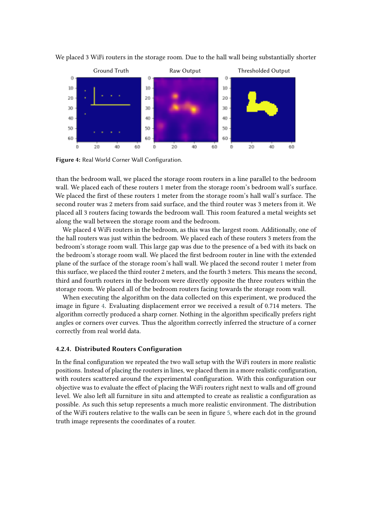

We placed 3 WiFi routers in the storage room. Due to the hall wall being substantially shorter

<span id="page-12-0"></span>**Figure 4:** Real World Corner Wall Configuration.

than the bedroom wall, we placed the storage room routers in a line parallel to the bedroom wall. We placed each of these routers 1 meter from the storage room's bedroom wall's surface. We placed the first of these routers 1 meter from the storage room's hall wall's surface. The second router was 2 meters from said surface, and the third router was 3 meters from it. We placed all 3 routers facing towards the bedroom wall. This room featured a metal weights set along the wall between the storage room and the bedroom.

We placed 4 WiFi routers in the bedroom, as this was the largest room. Additionally, one of the hall routers was just within the bedroom. We placed each of these routers 3 meters from the bedroom's storage room wall. This large gap was due to the presence of a bed with its back on the bedroom's storage room wall. We placed the first bedroom router in line with the extended plane of the surface of the storage room's hall wall. We placed the second router 1 meter from this surface, we placed the third router 2 meters, and the fourth 3 meters. This means the second, third and fourth routers in the bedroom were directly opposite the three routers within the storage room. We placed all of the bedroom routers facing towards the storage room wall.

When executing the algorithm on the data collected on this experiment, we produced the image in figure [4.](#page-12-0) Evaluating displacement error we received a result of 0.714 meters. The algorithm correctly produced a sharp corner. Nothing in the algorithm specifically prefers right angles or corners over curves. Thus the algorithm correctly inferred the structure of a corner correctly from real world data.

### **4.2.4. Distributed Routers Configuration**

In the final configuration we repeated the two wall setup with the WiFi routers in more realistic positions. Instead of placing the routers in lines, we placed them in a more realistic configuration, with routers scattered around the experimental configuration. With this configuration our objective was to evaluate the effect of placing the WiFi routers right next to walls and off ground level. We also left all furniture in situ and attempted to create as realistic a configuration as possible. As such this setup represents a much more realistic environment. The distribution of the WiFi routers relative to the walls can be seen in figure [5,](#page-13-0) where each dot in the ground truth image represents the coordinates of a router.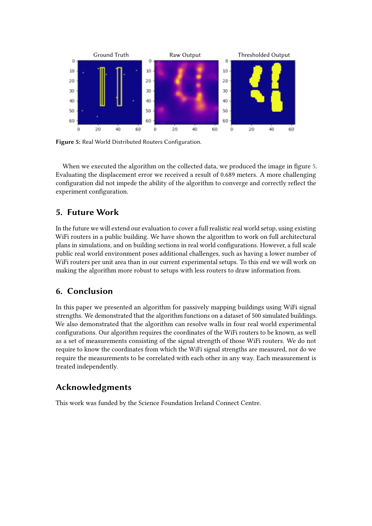

<span id="page-13-0"></span>**Figure 5:** Real World Distributed Routers Configuration.

When we executed the algorithm on the collected data, we produced the image in figure [5.](#page-13-0) Evaluating the displacement error we received a result of 0.689 meters. A more challenging configuration did not impede the ability of the algorithm to converge and correctly reflect the experiment configuration.

# **5. Future Work**

In the future we will extend our evaluation to cover a full realistic real world setup, using existing WiFi routers in a public building. We have shown the algorithm to work on full architectural plans in simulations, and on building sections in real world configurations. However, a full scale public real world environment poses additional challenges, such as having a lower number of WiFi routers per unit area than in our current experimental setups. To this end we will work on making the algorithm more robust to setups with less routers to draw information from.

# **6. Conclusion**

In this paper we presented an algorithm for passively mapping buildings using WiFi signal strengths. We demonstrated that the algorithm functions on a dataset of 500 simulated buildings. We also demonstrated that the algorithm can resolve walls in four real world experimental configurations. Our algorithm requires the coordinates of the WiFi routers to be known, as well as a set of measurements consisting of the signal strength of those WiFi routers. We do not require to know the coordinates from which the WiFi signal strengths are measured, nor do we require the measurements to be correlated with each other in any way. Each measurement is treated independently.

# **Acknowledgments**

This work was funded by the Science Foundation Ireland Connect Centre.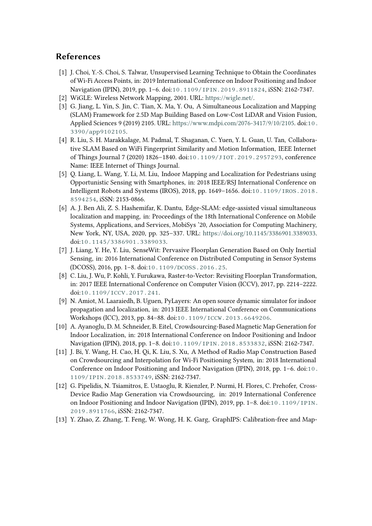# **References**

- [1] J. Choi, Y.-S. Choi, S. Talwar, Unsupervised Learning Technique to Obtain the Coordinates of Wi-Fi Access Points, in: 2019 International Conference on Indoor Positioning and Indoor Navigation (IPIN), 2019, pp. 1–6. doi:[10.1109/IPIN.2019.8911824](http://dx.doi.org/10.1109/IPIN.2019.8911824), iSSN: 2162-7347.
- [2] WiGLE: Wireless Network Mapping, 2001. URL: [https://wigle.net/.](https://wigle.net/)
- [3] G. Jiang, L. Yin, S. Jin, C. Tian, X. Ma, Y. Ou, A Simultaneous Localization and Mapping (SLAM) Framework for 2.5D Map Building Based on Low-Cost LiDAR and Vision Fusion, Applied Sciences 9 (2019) 2105. URL: [https://www.mdpi.com/2076-3417/9/10/2105.](https://www.mdpi.com/2076-3417/9/10/2105) doi:[10.](http://dx.doi.org/10.3390/app9102105) [3390/app9102105](http://dx.doi.org/10.3390/app9102105).
- [4] R. Liu, S. H. Marakkalage, M. Padmal, T. Shaganan, C. Yuen, Y. L. Guan, U. Tan, Collaborative SLAM Based on WiFi Fingerprint Similarity and Motion Information, IEEE Internet of Things Journal 7 (2020) 1826–1840. doi:[10.1109/JIOT.2019.2957293](http://dx.doi.org/10.1109/JIOT.2019.2957293), conference Name: IEEE Internet of Things Journal.
- [5] Q. Liang, L. Wang, Y. Li, M. Liu, Indoor Mapping and Localization for Pedestrians using Opportunistic Sensing with Smartphones, in: 2018 IEEE/RSJ International Conference on Intelligent Robots and Systems (IROS), 2018, pp. 1649–1656. doi:[10.1109/IROS.2018.](http://dx.doi.org/10.1109/IROS.2018.8594254) [8594254](http://dx.doi.org/10.1109/IROS.2018.8594254), iSSN: 2153-0866.
- [6] A. J. Ben Ali, Z. S. Hashemifar, K. Dantu, Edge-SLAM: edge-assisted visual simultaneous localization and mapping, in: Proceedings of the 18th International Conference on Mobile Systems, Applications, and Services, MobiSys '20, Association for Computing Machinery, New York, NY, USA, 2020, pp. 325–337. URL: [https://doi.org/10.1145/3386901.3389033.](https://doi.org/10.1145/3386901.3389033) doi:[10.1145/3386901.3389033](http://dx.doi.org/10.1145/3386901.3389033).
- [7] J. Liang, Y. He, Y. Liu, SenseWit: Pervasive Floorplan Generation Based on Only Inertial Sensing, in: 2016 International Conference on Distributed Computing in Sensor Systems (DCOSS), 2016, pp. 1–8. doi:[10.1109/DCOSS.2016.25](http://dx.doi.org/10.1109/DCOSS.2016.25).
- <span id="page-14-0"></span>[8] C. Liu, J. Wu, P. Kohli, Y. Furukawa, Raster-to-Vector: Revisiting Floorplan Transformation, in: 2017 IEEE International Conference on Computer Vision (ICCV), 2017, pp. 2214–2222. doi:[10.1109/ICCV.2017.241](http://dx.doi.org/10.1109/ICCV.2017.241).
- <span id="page-14-1"></span>[9] N. Amiot, M. Laaraiedh, B. Uguen, PyLayers: An open source dynamic simulator for indoor propagation and localization, in: 2013 IEEE International Conference on Communications Workshops (ICC), 2013, pp. 84–88. doi:[10.1109/ICCW.2013.6649206](http://dx.doi.org/10.1109/ICCW.2013.6649206).
- <span id="page-14-2"></span>[10] A. Ayanoglu, D. M. Schneider, B. Eitel, Crowdsourcing-Based Magnetic Map Generation for Indoor Localization, in: 2018 International Conference on Indoor Positioning and Indoor Navigation (IPIN), 2018, pp. 1–8. doi:[10.1109/IPIN.2018.8533832](http://dx.doi.org/10.1109/IPIN.2018.8533832), iSSN: 2162-7347.
- <span id="page-14-3"></span>[11] J. Bi, Y. Wang, H. Cao, H. Qi, K. Liu, S. Xu, A Method of Radio Map Construction Based on Crowdsourcing and Interpolation for Wi-Fi Positioning System, in: 2018 International Conference on Indoor Positioning and Indoor Navigation (IPIN), 2018, pp. 1–6. doi:[10.](http://dx.doi.org/10.1109/IPIN.2018.8533749) [1109/IPIN.2018.8533749](http://dx.doi.org/10.1109/IPIN.2018.8533749), iSSN: 2162-7347.
- <span id="page-14-4"></span>[12] G. Pipelidis, N. Tsiamitros, E. Ustaoglu, R. Kienzler, P. Nurmi, H. Flores, C. Prehofer, Cross-Device Radio Map Generation via Crowdsourcing, in: 2019 International Conference on Indoor Positioning and Indoor Navigation (IPIN), 2019, pp. 1–8. doi:[10.1109/IPIN.](http://dx.doi.org/10.1109/IPIN.2019.8911766) [2019.8911766](http://dx.doi.org/10.1109/IPIN.2019.8911766), iSSN: 2162-7347.
- <span id="page-14-5"></span>[13] Y. Zhao, Z. Zhang, T. Feng, W. Wong, H. K. Garg, GraphIPS: Calibration-free and Map-